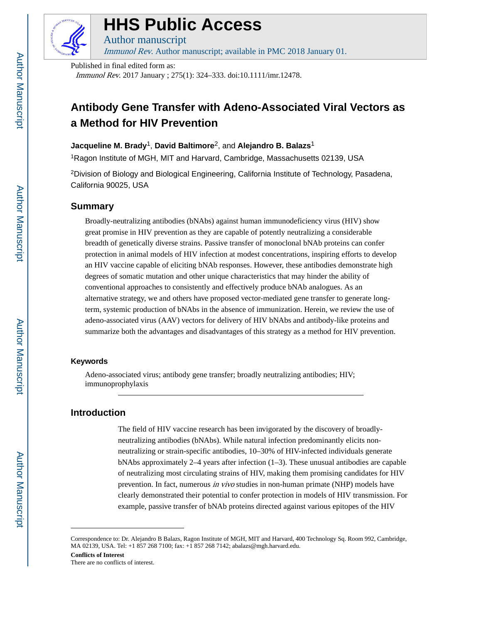

# **HHS Public Access**

Author manuscript

Immunol Rev. Author manuscript; available in PMC 2018 January 01.

Published in final edited form as:

Immunol Rev. 2017 January ; 275(1): 324–333. doi:10.1111/imr.12478.

## **Antibody Gene Transfer with Adeno-Associated Viral Vectors as a Method for HIV Prevention**

#### **Jacqueline M. Brady**1, **David Baltimore**2, and **Alejandro B. Balazs**<sup>1</sup>

<sup>1</sup>Ragon Institute of MGH, MIT and Harvard, Cambridge, Massachusetts 02139, USA

<sup>2</sup>Division of Biology and Biological Engineering, California Institute of Technology, Pasadena, California 90025, USA

#### **Summary**

Broadly-neutralizing antibodies (bNAbs) against human immunodeficiency virus (HIV) show great promise in HIV prevention as they are capable of potently neutralizing a considerable breadth of genetically diverse strains. Passive transfer of monoclonal bNAb proteins can confer protection in animal models of HIV infection at modest concentrations, inspiring efforts to develop an HIV vaccine capable of eliciting bNAb responses. However, these antibodies demonstrate high degrees of somatic mutation and other unique characteristics that may hinder the ability of conventional approaches to consistently and effectively produce bNAb analogues. As an alternative strategy, we and others have proposed vector-mediated gene transfer to generate longterm, systemic production of bNAbs in the absence of immunization. Herein, we review the use of adeno-associated virus (AAV) vectors for delivery of HIV bNAbs and antibody-like proteins and summarize both the advantages and disadvantages of this strategy as a method for HIV prevention.

#### **Keywords**

Adeno-associated virus; antibody gene transfer; broadly neutralizing antibodies; HIV; immunoprophylaxis

### **Introduction**

The field of HIV vaccine research has been invigorated by the discovery of broadlyneutralizing antibodies (bNAbs). While natural infection predominantly elicits nonneutralizing or strain-specific antibodies, 10–30% of HIV-infected individuals generate bNAbs approximately  $2-4$  years after infection  $(1-3)$ . These unusual antibodies are capable of neutralizing most circulating strains of HIV, making them promising candidates for HIV prevention. In fact, numerous in vivo studies in non-human primate (NHP) models have clearly demonstrated their potential to confer protection in models of HIV transmission. For example, passive transfer of bNAb proteins directed against various epitopes of the HIV

Correspondence to: Dr. Alejandro B Balazs, Ragon Institute of MGH, MIT and Harvard, 400 Technology Sq. Room 992, Cambridge, MA 02139, USA. Tel: +1 857 268 7100; fax: +1 857 268 7142; abalazs@mgh.harvard.edu.

**Conflicts of Interest** There are no conflicts of interest.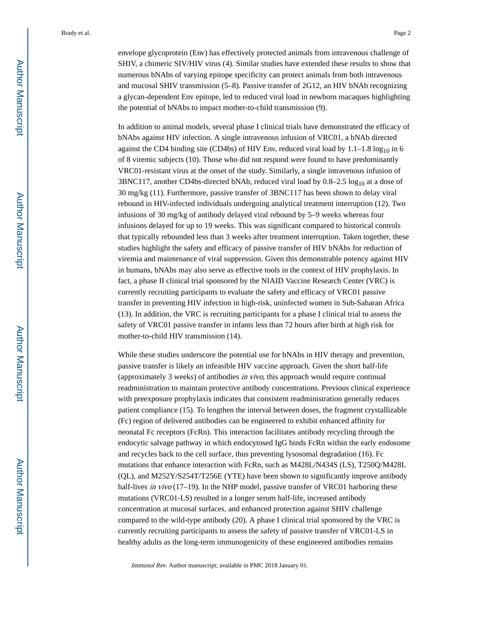envelope glycoprotein (Env) has effectively protected animals from intravenous challenge of SHIV, a chimeric SIV/HIV virus (4). Similar studies have extended these results to show that numerous bNAbs of varying epitope specificity can protect animals from both intravenous and mucosal SHIV transmission (5–8). Passive transfer of 2G12, an HIV bNAb recognizing a glycan-dependent Env epitope, led to reduced viral load in newborn macaques highlighting the potential of bNAbs to impact mother-to-child transmission (9).

In addition to animal models, several phase I clinical trials have demonstrated the efficacy of bNAbs against HIV infection. A single intravenous infusion of VRC01, a bNAb directed against the CD4 binding site (CD4bs) of HIV Env, reduced viral load by  $1.1-1.8 \log_{10}$  in 6 of 8 viremic subjects (10). Those who did not respond were found to have predominantly VRC01-resistant virus at the onset of the study. Similarly, a single intravenous infusion of 3BNC117, another CD4bs-directed bNAb, reduced viral load by  $0.8-2.5 \log_{10}$  at a dose of 30 mg/kg (11). Furthermore, passive transfer of 3BNC117 has been shown to delay viral rebound in HIV-infected individuals undergoing analytical treatment interruption (12). Two infusions of 30 mg/kg of antibody delayed viral rebound by 5–9 weeks whereas four infusions delayed for up to 19 weeks. This was significant compared to historical controls that typically rebounded less than 3 weeks after treatment interruption. Taken together, these studies highlight the safety and efficacy of passive transfer of HIV bNAbs for reduction of viremia and maintenance of viral suppression. Given this demonstrable potency against HIV in humans, bNAbs may also serve as effective tools in the context of HIV prophylaxis. In fact, a phase II clinical trial sponsored by the NIAID Vaccine Research Center (VRC) is currently recruiting participants to evaluate the safety and efficacy of VRC01 passive transfer in preventing HIV infection in high-risk, uninfected women in Sub-Saharan Africa (13). In addition, the VRC is recruiting participants for a phase I clinical trial to assess the safety of VRC01 passive transfer in infants less than 72 hours after birth at high risk for mother-to-child HIV transmission (14).

While these studies underscore the potential use for bNAbs in HIV therapy and prevention, passive transfer is likely an infeasible HIV vaccine approach. Given the short half-life (approximately 3 weeks) of antibodies in vivo, this approach would require continual readministration to maintain protective antibody concentrations. Previous clinical experience with preexposure prophylaxis indicates that consistent readministration generally reduces patient compliance (15). To lengthen the interval between doses, the fragment crystallizable (Fc) region of delivered antibodies can be engineered to exhibit enhanced affinity for neonatal Fc receptors (FcRn). This interaction facilitates antibody recycling through the endocytic salvage pathway in which endocytosed IgG binds FcRn within the early endosome and recycles back to the cell surface, thus preventing lysosomal degradation (16). Fc mutations that enhance interaction with FcRn, such as M428L/N434S (LS), T250Q/M428L (QL), and M252Y/S254T/T256E (YTE) have been shown to significantly improve antibody half-lives in vivo (17–19). In the NHP model, passive transfer of VRC01 harboring these mutations (VRC01-LS) resulted in a longer serum half-life, increased antibody concentration at mucosal surfaces, and enhanced protection against SHIV challenge compared to the wild-type antibody (20). A phase I clinical trial sponsored by the VRC is currently recruiting participants to assess the safety of passive transfer of VRC01-LS in healthy adults as the long-term immunogenicity of these engineered antibodies remains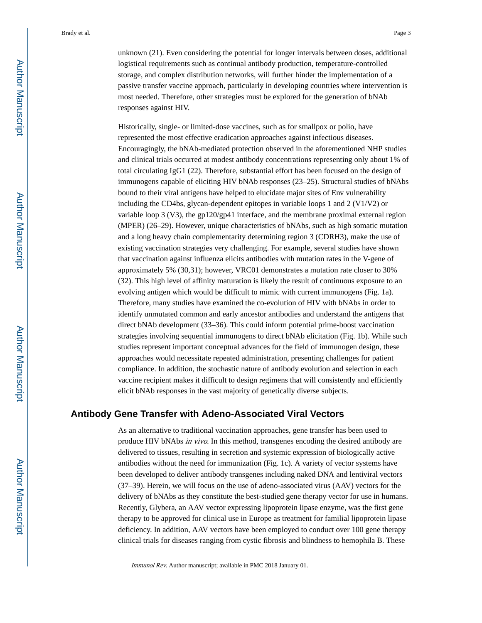unknown (21). Even considering the potential for longer intervals between doses, additional logistical requirements such as continual antibody production, temperature-controlled storage, and complex distribution networks, will further hinder the implementation of a passive transfer vaccine approach, particularly in developing countries where intervention is most needed. Therefore, other strategies must be explored for the generation of bNAb responses against HIV.

Historically, single- or limited-dose vaccines, such as for smallpox or polio, have represented the most effective eradication approaches against infectious diseases. Encouragingly, the bNAb-mediated protection observed in the aforementioned NHP studies and clinical trials occurred at modest antibody concentrations representing only about 1% of total circulating IgG1 (22). Therefore, substantial effort has been focused on the design of immunogens capable of eliciting HIV bNAb responses (23–25). Structural studies of bNAbs bound to their viral antigens have helped to elucidate major sites of Env vulnerability including the CD4bs, glycan-dependent epitopes in variable loops 1 and 2 (V1/V2) or variable loop 3 (V3), the gp120/gp41 interface, and the membrane proximal external region (MPER) (26–29). However, unique characteristics of bNAbs, such as high somatic mutation and a long heavy chain complementarity determining region 3 (CDRH3), make the use of existing vaccination strategies very challenging. For example, several studies have shown that vaccination against influenza elicits antibodies with mutation rates in the V-gene of approximately 5% (30,31); however, VRC01 demonstrates a mutation rate closer to 30% (32). This high level of affinity maturation is likely the result of continuous exposure to an evolving antigen which would be difficult to mimic with current immunogens (Fig. 1a). Therefore, many studies have examined the co-evolution of HIV with bNAbs in order to identify unmutated common and early ancestor antibodies and understand the antigens that direct bNAb development (33–36). This could inform potential prime-boost vaccination strategies involving sequential immunogens to direct bNAb elicitation (Fig. 1b). While such studies represent important conceptual advances for the field of immunogen design, these approaches would necessitate repeated administration, presenting challenges for patient compliance. In addition, the stochastic nature of antibody evolution and selection in each vaccine recipient makes it difficult to design regimens that will consistently and efficiently elicit bNAb responses in the vast majority of genetically diverse subjects.

#### **Antibody Gene Transfer with Adeno-Associated Viral Vectors**

As an alternative to traditional vaccination approaches, gene transfer has been used to produce HIV bNAbs in vivo. In this method, transgenes encoding the desired antibody are delivered to tissues, resulting in secretion and systemic expression of biologically active antibodies without the need for immunization (Fig. 1c). A variety of vector systems have been developed to deliver antibody transgenes including naked DNA and lentiviral vectors (37–39). Herein, we will focus on the use of adeno-associated virus (AAV) vectors for the delivery of bNAbs as they constitute the best-studied gene therapy vector for use in humans. Recently, Glybera, an AAV vector expressing lipoprotein lipase enzyme, was the first gene therapy to be approved for clinical use in Europe as treatment for familial lipoprotein lipase deficiency. In addition, AAV vectors have been employed to conduct over 100 gene therapy clinical trials for diseases ranging from cystic fibrosis and blindness to hemophila B. These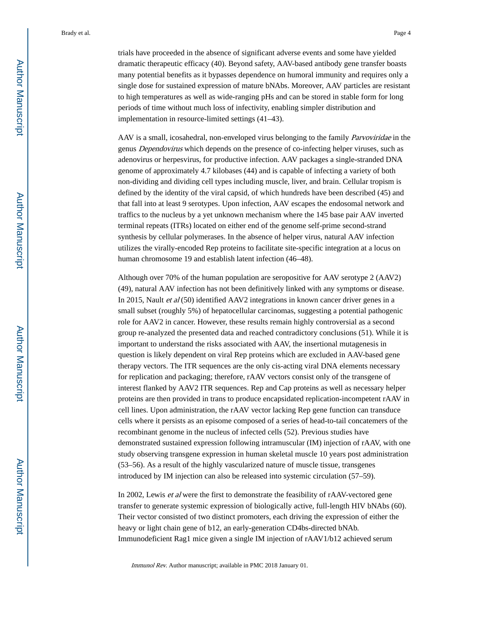trials have proceeded in the absence of significant adverse events and some have yielded dramatic therapeutic efficacy (40). Beyond safety, AAV-based antibody gene transfer boasts many potential benefits as it bypasses dependence on humoral immunity and requires only a single dose for sustained expression of mature bNAbs. Moreover, AAV particles are resistant to high temperatures as well as wide-ranging pHs and can be stored in stable form for long periods of time without much loss of infectivity, enabling simpler distribution and implementation in resource-limited settings (41–43).

AAV is a small, icosahedral, non-enveloped virus belonging to the family *Parvoviridae* in the genus Dependovirus which depends on the presence of co-infecting helper viruses, such as adenovirus or herpesvirus, for productive infection. AAV packages a single-stranded DNA genome of approximately 4.7 kilobases (44) and is capable of infecting a variety of both non-dividing and dividing cell types including muscle, liver, and brain. Cellular tropism is defined by the identity of the viral capsid, of which hundreds have been described (45) and that fall into at least 9 serotypes. Upon infection, AAV escapes the endosomal network and traffics to the nucleus by a yet unknown mechanism where the 145 base pair AAV inverted terminal repeats (ITRs) located on either end of the genome self-prime second-strand synthesis by cellular polymerases. In the absence of helper virus, natural AAV infection utilizes the virally-encoded Rep proteins to facilitate site-specific integration at a locus on human chromosome 19 and establish latent infection (46–48).

Although over 70% of the human population are seropositive for AAV serotype 2 (AAV2) (49), natural AAV infection has not been definitively linked with any symptoms or disease. In 2015, Nault *et al* (50) identified AAV2 integrations in known cancer driver genes in a small subset (roughly 5%) of hepatocellular carcinomas, suggesting a potential pathogenic role for AAV2 in cancer. However, these results remain highly controversial as a second group re-analyzed the presented data and reached contradictory conclusions (51). While it is important to understand the risks associated with AAV, the insertional mutagenesis in question is likely dependent on viral Rep proteins which are excluded in AAV-based gene therapy vectors. The ITR sequences are the only cis-acting viral DNA elements necessary for replication and packaging; therefore, rAAV vectors consist only of the transgene of interest flanked by AAV2 ITR sequences. Rep and Cap proteins as well as necessary helper proteins are then provided in trans to produce encapsidated replication-incompetent rAAV in cell lines. Upon administration, the rAAV vector lacking Rep gene function can transduce cells where it persists as an episome composed of a series of head-to-tail concatemers of the recombinant genome in the nucleus of infected cells (52). Previous studies have demonstrated sustained expression following intramuscular (IM) injection of rAAV, with one study observing transgene expression in human skeletal muscle 10 years post administration (53–56). As a result of the highly vascularized nature of muscle tissue, transgenes introduced by IM injection can also be released into systemic circulation (57–59).

In 2002, Lewis *et al* were the first to demonstrate the feasibility of rAAV-vectored gene transfer to generate systemic expression of biologically active, full-length HIV bNAbs (60). Their vector consisted of two distinct promoters, each driving the expression of either the heavy or light chain gene of b12, an early-generation CD4bs-directed bNAb. Immunodeficient Rag1 mice given a single IM injection of rAAV1/b12 achieved serum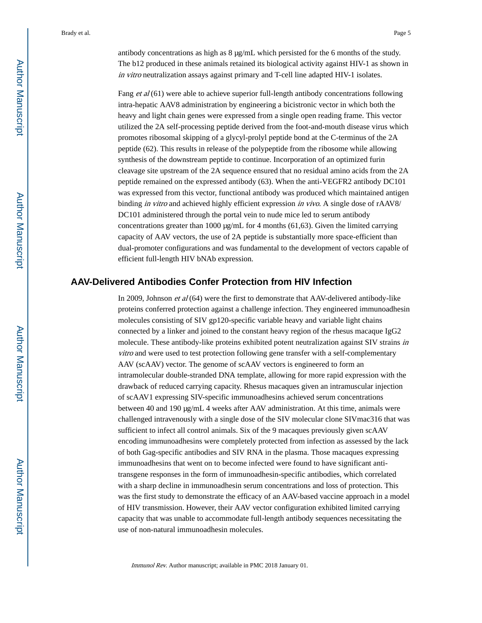antibody concentrations as high as 8 μg/mL which persisted for the 6 months of the study. The b12 produced in these animals retained its biological activity against HIV-1 as shown in in vitro neutralization assays against primary and T-cell line adapted HIV-1 isolates.

Fang *et al*  $(61)$  were able to achieve superior full-length antibody concentrations following intra-hepatic AAV8 administration by engineering a bicistronic vector in which both the heavy and light chain genes were expressed from a single open reading frame. This vector utilized the 2A self-processing peptide derived from the foot-and-mouth disease virus which promotes ribosomal skipping of a glycyl-prolyl peptide bond at the C-terminus of the 2A peptide (62). This results in release of the polypeptide from the ribosome while allowing synthesis of the downstream peptide to continue. Incorporation of an optimized furin cleavage site upstream of the 2A sequence ensured that no residual amino acids from the 2A peptide remained on the expressed antibody (63). When the anti-VEGFR2 antibody DC101 was expressed from this vector, functional antibody was produced which maintained antigen binding in vitro and achieved highly efficient expression in vivo. A single dose of rAAV8/ DC101 administered through the portal vein to nude mice led to serum antibody concentrations greater than 1000 μg/mL for 4 months (61,63). Given the limited carrying capacity of AAV vectors, the use of 2A peptide is substantially more space-efficient than dual-promoter configurations and was fundamental to the development of vectors capable of efficient full-length HIV bNAb expression.

#### **AAV-Delivered Antibodies Confer Protection from HIV Infection**

In 2009, Johnson et al (64) were the first to demonstrate that AAV-delivered antibody-like proteins conferred protection against a challenge infection. They engineered immunoadhesin molecules consisting of SIV gp120-specific variable heavy and variable light chains connected by a linker and joined to the constant heavy region of the rhesus macaque IgG2 molecule. These antibody-like proteins exhibited potent neutralization against SIV strains in vitro and were used to test protection following gene transfer with a self-complementary AAV (scAAV) vector. The genome of scAAV vectors is engineered to form an intramolecular double-stranded DNA template, allowing for more rapid expression with the drawback of reduced carrying capacity. Rhesus macaques given an intramuscular injection of scAAV1 expressing SIV-specific immunoadhesins achieved serum concentrations between 40 and 190 μg/mL 4 weeks after AAV administration. At this time, animals were challenged intravenously with a single dose of the SIV molecular clone SIVmac316 that was sufficient to infect all control animals. Six of the 9 macaques previously given scAAV encoding immunoadhesins were completely protected from infection as assessed by the lack of both Gag-specific antibodies and SIV RNA in the plasma. Those macaques expressing immunoadhesins that went on to become infected were found to have significant antitransgene responses in the form of immunoadhesin-specific antibodies, which correlated with a sharp decline in immunoadhesin serum concentrations and loss of protection. This was the first study to demonstrate the efficacy of an AAV-based vaccine approach in a model of HIV transmission. However, their AAV vector configuration exhibited limited carrying capacity that was unable to accommodate full-length antibody sequences necessitating the use of non-natural immunoadhesin molecules.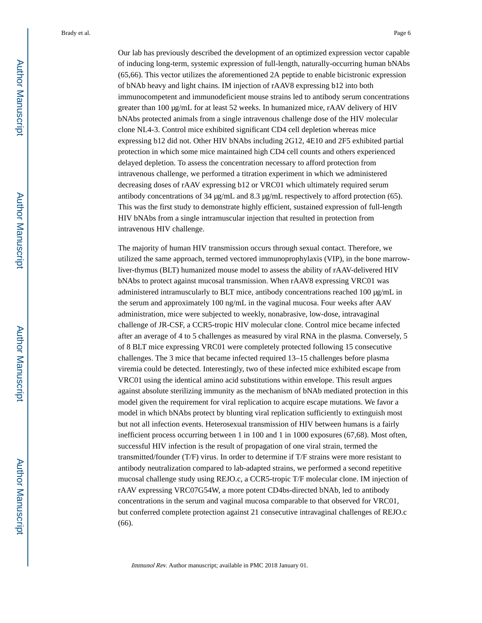Our lab has previously described the development of an optimized expression vector capable of inducing long-term, systemic expression of full-length, naturally-occurring human bNAbs (65,66). This vector utilizes the aforementioned 2A peptide to enable bicistronic expression of bNAb heavy and light chains. IM injection of rAAV8 expressing b12 into both immunocompetent and immunodeficient mouse strains led to antibody serum concentrations greater than 100 μg/mL for at least 52 weeks. In humanized mice, rAAV delivery of HIV bNAbs protected animals from a single intravenous challenge dose of the HIV molecular clone NL4-3. Control mice exhibited significant CD4 cell depletion whereas mice expressing b12 did not. Other HIV bNAbs including 2G12, 4E10 and 2F5 exhibited partial protection in which some mice maintained high CD4 cell counts and others experienced delayed depletion. To assess the concentration necessary to afford protection from intravenous challenge, we performed a titration experiment in which we administered decreasing doses of rAAV expressing b12 or VRC01 which ultimately required serum antibody concentrations of 34 μg/mL and 8.3 μg/mL respectively to afford protection (65). This was the first study to demonstrate highly efficient, sustained expression of full-length HIV bNAbs from a single intramuscular injection that resulted in protection from intravenous HIV challenge.

The majority of human HIV transmission occurs through sexual contact. Therefore, we utilized the same approach, termed vectored immunoprophylaxis (VIP), in the bone marrowliver-thymus (BLT) humanized mouse model to assess the ability of rAAV-delivered HIV bNAbs to protect against mucosal transmission. When rAAV8 expressing VRC01 was administered intramuscularly to BLT mice, antibody concentrations reached 100 μg/mL in the serum and approximately 100 ng/mL in the vaginal mucosa. Four weeks after AAV administration, mice were subjected to weekly, nonabrasive, low-dose, intravaginal challenge of JR-CSF, a CCR5-tropic HIV molecular clone. Control mice became infected after an average of 4 to 5 challenges as measured by viral RNA in the plasma. Conversely, 5 of 8 BLT mice expressing VRC01 were completely protected following 15 consecutive challenges. The 3 mice that became infected required 13–15 challenges before plasma viremia could be detected. Interestingly, two of these infected mice exhibited escape from VRC01 using the identical amino acid substitutions within envelope. This result argues against absolute sterilizing immunity as the mechanism of bNAb mediated protection in this model given the requirement for viral replication to acquire escape mutations. We favor a model in which bNAbs protect by blunting viral replication sufficiently to extinguish most but not all infection events. Heterosexual transmission of HIV between humans is a fairly inefficient process occurring between 1 in 100 and 1 in 1000 exposures (67,68). Most often, successful HIV infection is the result of propagation of one viral strain, termed the transmitted/founder (T/F) virus. In order to determine if T/F strains were more resistant to antibody neutralization compared to lab-adapted strains, we performed a second repetitive mucosal challenge study using REJO.c, a CCR5-tropic T/F molecular clone. IM injection of rAAV expressing VRC07G54W, a more potent CD4bs-directed bNAb, led to antibody concentrations in the serum and vaginal mucosa comparable to that observed for VRC01, but conferred complete protection against 21 consecutive intravaginal challenges of REJO.c (66).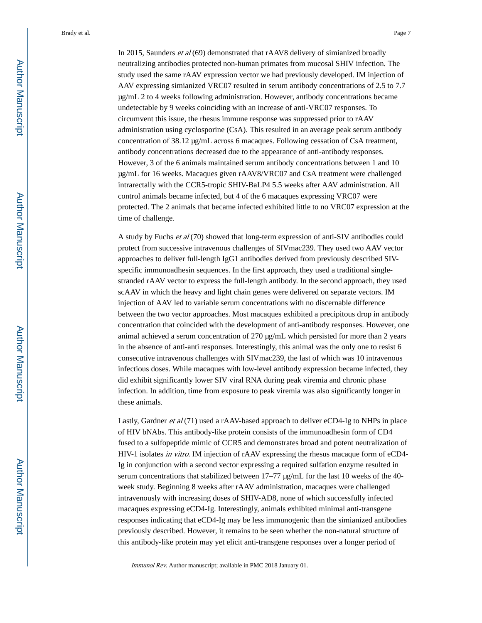In 2015, Saunders et al (69) demonstrated that rAAV8 delivery of simianized broadly neutralizing antibodies protected non-human primates from mucosal SHIV infection. The study used the same rAAV expression vector we had previously developed. IM injection of AAV expressing simianized VRC07 resulted in serum antibody concentrations of 2.5 to 7.7 μg/mL 2 to 4 weeks following administration. However, antibody concentrations became undetectable by 9 weeks coinciding with an increase of anti-VRC07 responses. To circumvent this issue, the rhesus immune response was suppressed prior to rAAV administration using cyclosporine (CsA). This resulted in an average peak serum antibody concentration of 38.12 μg/mL across 6 macaques. Following cessation of CsA treatment, antibody concentrations decreased due to the appearance of anti-antibody responses. However, 3 of the 6 animals maintained serum antibody concentrations between 1 and 10 μg/mL for 16 weeks. Macaques given rAAV8/VRC07 and CsA treatment were challenged intrarectally with the CCR5-tropic SHIV-BaLP4 5.5 weeks after AAV administration. All control animals became infected, but 4 of the 6 macaques expressing VRC07 were protected. The 2 animals that became infected exhibited little to no VRC07 expression at the time of challenge.

A study by Fuchs et al (70) showed that long-term expression of anti-SIV antibodies could protect from successive intravenous challenges of SIVmac239. They used two AAV vector approaches to deliver full-length IgG1 antibodies derived from previously described SIVspecific immunoadhesin sequences. In the first approach, they used a traditional singlestranded rAAV vector to express the full-length antibody. In the second approach, they used scAAV in which the heavy and light chain genes were delivered on separate vectors. IM injection of AAV led to variable serum concentrations with no discernable difference between the two vector approaches. Most macaques exhibited a precipitous drop in antibody concentration that coincided with the development of anti-antibody responses. However, one animal achieved a serum concentration of 270 μg/mL which persisted for more than 2 years in the absence of anti-anti responses. Interestingly, this animal was the only one to resist 6 consecutive intravenous challenges with SIVmac239, the last of which was 10 intravenous infectious doses. While macaques with low-level antibody expression became infected, they did exhibit significantly lower SIV viral RNA during peak viremia and chronic phase infection. In addition, time from exposure to peak viremia was also significantly longer in these animals.

Lastly, Gardner *et al* (71) used a rAAV-based approach to deliver eCD4-Ig to NHPs in place of HIV bNAbs. This antibody-like protein consists of the immunoadhesin form of CD4 fused to a sulfopeptide mimic of CCR5 and demonstrates broad and potent neutralization of HIV-1 isolates in vitro. IM injection of rAAV expressing the rhesus macaque form of eCD4- Ig in conjunction with a second vector expressing a required sulfation enzyme resulted in serum concentrations that stabilized between 17–77 μg/mL for the last 10 weeks of the 40 week study. Beginning 8 weeks after rAAV administration, macaques were challenged intravenously with increasing doses of SHIV-AD8, none of which successfully infected macaques expressing eCD4-Ig. Interestingly, animals exhibited minimal anti-transgene responses indicating that eCD4-Ig may be less immunogenic than the simianized antibodies previously described. However, it remains to be seen whether the non-natural structure of this antibody-like protein may yet elicit anti-transgene responses over a longer period of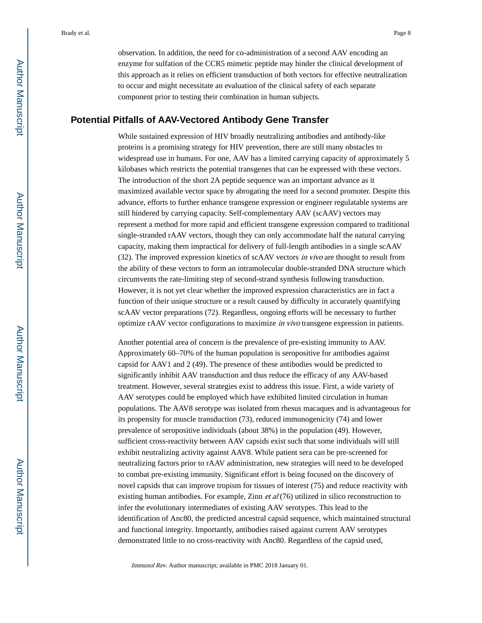observation. In addition, the need for co-administration of a second AAV encoding an enzyme for sulfation of the CCR5 mimetic peptide may hinder the clinical development of this approach as it relies on efficient transduction of both vectors for effective neutralization to occur and might necessitate an evaluation of the clinical safety of each separate component prior to testing their combination in human subjects.

#### **Potential Pitfalls of AAV-Vectored Antibody Gene Transfer**

While sustained expression of HIV broadly neutralizing antibodies and antibody-like proteins is a promising strategy for HIV prevention, there are still many obstacles to widespread use in humans. For one, AAV has a limited carrying capacity of approximately 5 kilobases which restricts the potential transgenes that can be expressed with these vectors. The introduction of the short 2A peptide sequence was an important advance as it maximized available vector space by abrogating the need for a second promoter. Despite this advance, efforts to further enhance transgene expression or engineer regulatable systems are still hindered by carrying capacity. Self-complementary AAV (scAAV) vectors may represent a method for more rapid and efficient transgene expression compared to traditional single-stranded rAAV vectors, though they can only accommodate half the natural carrying capacity, making them impractical for delivery of full-length antibodies in a single scAAV (32). The improved expression kinetics of scAAV vectors in vivo are thought to result from the ability of these vectors to form an intramolecular double-stranded DNA structure which circumvents the rate-limiting step of second-strand synthesis following transduction. However, it is not yet clear whether the improved expression characteristics are in fact a function of their unique structure or a result caused by difficulty in accurately quantifying scAAV vector preparations (72). Regardless, ongoing efforts will be necessary to further optimize rAAV vector configurations to maximize in vivo transgene expression in patients.

Another potential area of concern is the prevalence of pre-existing immunity to AAV. Approximately 60–70% of the human population is seropositive for antibodies against capsid for AAV1 and 2 (49). The presence of these antibodies would be predicted to significantly inhibit AAV transduction and thus reduce the efficacy of any AAV-based treatment. However, several strategies exist to address this issue. First, a wide variety of AAV serotypes could be employed which have exhibited limited circulation in human populations. The AAV8 serotype was isolated from rhesus macaques and is advantageous for its propensity for muscle transduction (73), reduced immunogenicity (74) and lower prevalence of seropositive individuals (about 38%) in the population (49). However, sufficient cross-reactivity between AAV capsids exist such that some individuals will still exhibit neutralizing activity against AAV8. While patient sera can be pre-screened for neutralizing factors prior to rAAV administration, new strategies will need to be developed to combat pre-existing immunity. Significant effort is being focused on the discovery of novel capsids that can improve tropism for tissues of interest (75) and reduce reactivity with existing human antibodies. For example, Zinn  $et al (76)$  utilized in silico reconstruction to infer the evolutionary intermediates of existing AAV serotypes. This lead to the identification of Anc80, the predicted ancestral capsid sequence, which maintained structural and functional integrity. Importantly, antibodies raised against current AAV serotypes demonstrated little to no cross-reactivity with Anc80. Regardless of the capsid used,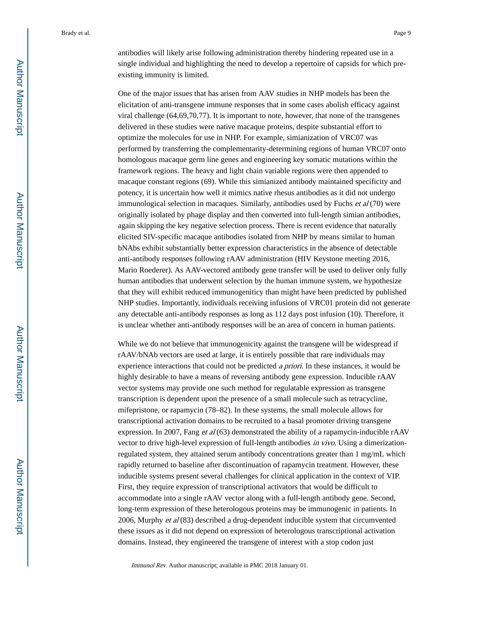antibodies will likely arise following administration thereby hindering repeated use in a single individual and highlighting the need to develop a repertoire of capsids for which preexisting immunity is limited.

One of the major issues that has arisen from AAV studies in NHP models has been the elicitation of anti-transgene immune responses that in some cases abolish efficacy against viral challenge (64,69,70,77). It is important to note, however, that none of the transgenes delivered in these studies were native macaque proteins, despite substantial effort to optimize the molecules for use in NHP. For example, simianization of VRC07 was performed by transferring the complementarity-determining regions of human VRC07 onto homologous macaque germ line genes and engineering key somatic mutations within the framework regions. The heavy and light chain variable regions were then appended to macaque constant regions (69). While this simianized antibody maintained specificity and potency, it is uncertain how well it mimics native rhesus antibodies as it did not undergo immunological selection in macaques. Similarly, antibodies used by Fuchs et al (70) were originally isolated by phage display and then converted into full-length simian antibodies, again skipping the key negative selection process. There is recent evidence that naturally elicited SIV-specific macaque antibodies isolated from NHP by means similar to human bNAbs exhibit substantially better expression characteristics in the absence of detectable anti-antibody responses following rAAV administration (HIV Keystone meeting 2016, Mario Roederer). As AAV-vectored antibody gene transfer will be used to deliver only fully human antibodies that underwent selection by the human immune system, we hypothesize that they will exhibit reduced immunogeniticy than might have been predicted by published NHP studies. Importantly, individuals receiving infusions of VRC01 protein did not generate any detectable anti-antibody responses as long as 112 days post infusion (10). Therefore, it is unclear whether anti-antibody responses will be an area of concern in human patients.

While we do not believe that immunogenicity against the transgene will be widespread if rAAV/bNAb vectors are used at large, it is entirely possible that rare individuals may experience interactions that could not be predicted *a priori*. In these instances, it would be highly desirable to have a means of reversing antibody gene expression. Inducible rAAV vector systems may provide one such method for regulatable expression as transgene transcription is dependent upon the presence of a small molecule such as tetracycline, mifepristone, or rapamycin (78–82). In these systems, the small molecule allows for transcriptional activation domains to be recruited to a basal promoter driving transgene expression. In 2007, Fang et al (63) demonstrated the ability of a rapamycin-inducible rAAV vector to drive high-level expression of full-length antibodies in vivo. Using a dimerizationregulated system, they attained serum antibody concentrations greater than 1 mg/mL which rapidly returned to baseline after discontinuation of rapamycin treatment. However, these inducible systems present several challenges for clinical application in the context of VIP. First, they require expression of transcriptional activators that would be difficult to accommodate into a single rAAV vector along with a full-length antibody gene. Second, long-term expression of these heterologous proteins may be immunogenic in patients. In 2006, Murphy *et al*  $(83)$  described a drug-dependent inducible system that circumvented these issues as it did not depend on expression of heterologous transcriptional activation domains. Instead, they engineered the transgene of interest with a stop codon just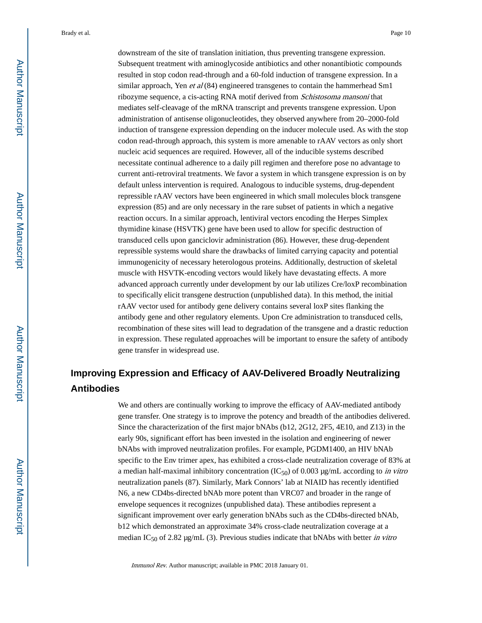downstream of the site of translation initiation, thus preventing transgene expression. Subsequent treatment with aminoglycoside antibiotics and other nonantibiotic compounds resulted in stop codon read-through and a 60-fold induction of transgene expression. In a similar approach, Yen et al (84) engineered transgenes to contain the hammerhead Sm1 ribozyme sequence, a cis-acting RNA motif derived from Schistosoma mansoni that mediates self-cleavage of the mRNA transcript and prevents transgene expression. Upon administration of antisense oligonucleotides, they observed anywhere from 20–2000-fold induction of transgene expression depending on the inducer molecule used. As with the stop codon read-through approach, this system is more amenable to rAAV vectors as only short nucleic acid sequences are required. However, all of the inducible systems described necessitate continual adherence to a daily pill regimen and therefore pose no advantage to current anti-retroviral treatments. We favor a system in which transgene expression is on by default unless intervention is required. Analogous to inducible systems, drug-dependent repressible rAAV vectors have been engineered in which small molecules block transgene expression (85) and are only necessary in the rare subset of patients in which a negative reaction occurs. In a similar approach, lentiviral vectors encoding the Herpes Simplex thymidine kinase (HSVTK) gene have been used to allow for specific destruction of transduced cells upon ganciclovir administration (86). However, these drug-dependent repressible systems would share the drawbacks of limited carrying capacity and potential immunogenicity of necessary heterologous proteins. Additionally, destruction of skeletal muscle with HSVTK-encoding vectors would likely have devastating effects. A more advanced approach currently under development by our lab utilizes Cre/loxP recombination to specifically elicit transgene destruction (unpublished data). In this method, the initial rAAV vector used for antibody gene delivery contains several loxP sites flanking the antibody gene and other regulatory elements. Upon Cre administration to transduced cells, recombination of these sites will lead to degradation of the transgene and a drastic reduction in expression. These regulated approaches will be important to ensure the safety of antibody gene transfer in widespread use.

### **Improving Expression and Efficacy of AAV-Delivered Broadly Neutralizing Antibodies**

We and others are continually working to improve the efficacy of AAV-mediated antibody gene transfer. One strategy is to improve the potency and breadth of the antibodies delivered. Since the characterization of the first major bNAbs (b12, 2G12, 2F5, 4E10, and Z13) in the early 90s, significant effort has been invested in the isolation and engineering of newer bNAbs with improved neutralization profiles. For example, PGDM1400, an HIV bNAb specific to the Env trimer apex, has exhibited a cross-clade neutralization coverage of 83% at a median half-maximal inhibitory concentration (IC<sub>50</sub>) of 0.003 μg/mL according to *in vitro* neutralization panels (87). Similarly, Mark Connors' lab at NIAID has recently identified N6, a new CD4bs-directed bNAb more potent than VRC07 and broader in the range of envelope sequences it recognizes (unpublished data). These antibodies represent a significant improvement over early generation bNAbs such as the CD4bs-directed bNAb, b12 which demonstrated an approximate 34% cross-clade neutralization coverage at a median IC<sub>50</sub> of 2.82 μg/mL (3). Previous studies indicate that bNAbs with better in vitro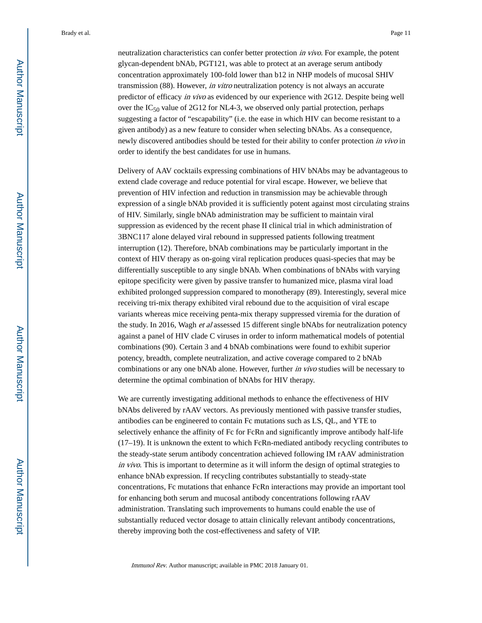neutralization characteristics can confer better protection in vivo. For example, the potent glycan-dependent bNAb, PGT121, was able to protect at an average serum antibody concentration approximately 100-fold lower than b12 in NHP models of mucosal SHIV transmission (88). However, in vitro neutralization potency is not always an accurate predictor of efficacy in vivo as evidenced by our experience with 2G12. Despite being well over the  $IC_{50}$  value of 2G12 for NL4-3, we observed only partial protection, perhaps suggesting a factor of "escapability" (i.e. the ease in which HIV can become resistant to a given antibody) as a new feature to consider when selecting bNAbs. As a consequence, newly discovered antibodies should be tested for their ability to confer protection in vivo in order to identify the best candidates for use in humans.

Delivery of AAV cocktails expressing combinations of HIV bNAbs may be advantageous to extend clade coverage and reduce potential for viral escape. However, we believe that prevention of HIV infection and reduction in transmission may be achievable through expression of a single bNAb provided it is sufficiently potent against most circulating strains of HIV. Similarly, single bNAb administration may be sufficient to maintain viral suppression as evidenced by the recent phase II clinical trial in which administration of 3BNC117 alone delayed viral rebound in suppressed patients following treatment interruption (12). Therefore, bNAb combinations may be particularly important in the context of HIV therapy as on-going viral replication produces quasi-species that may be differentially susceptible to any single bNAb. When combinations of bNAbs with varying epitope specificity were given by passive transfer to humanized mice, plasma viral load exhibited prolonged suppression compared to monotherapy (89). Interestingly, several mice receiving tri-mix therapy exhibited viral rebound due to the acquisition of viral escape variants whereas mice receiving penta-mix therapy suppressed viremia for the duration of the study. In 2016, Wagh et al assessed 15 different single bNAbs for neutralization potency against a panel of HIV clade C viruses in order to inform mathematical models of potential combinations (90). Certain 3 and 4 bNAb combinations were found to exhibit superior potency, breadth, complete neutralization, and active coverage compared to 2 bNAb combinations or any one bNAb alone. However, further *in vivo* studies will be necessary to determine the optimal combination of bNAbs for HIV therapy.

We are currently investigating additional methods to enhance the effectiveness of HIV bNAbs delivered by rAAV vectors. As previously mentioned with passive transfer studies, antibodies can be engineered to contain Fc mutations such as LS, QL, and YTE to selectively enhance the affinity of Fc for FcRn and significantly improve antibody half-life (17–19). It is unknown the extent to which FcRn-mediated antibody recycling contributes to the steady-state serum antibody concentration achieved following IM rAAV administration in vivo. This is important to determine as it will inform the design of optimal strategies to enhance bNAb expression. If recycling contributes substantially to steady-state concentrations, Fc mutations that enhance FcRn interactions may provide an important tool for enhancing both serum and mucosal antibody concentrations following rAAV administration. Translating such improvements to humans could enable the use of substantially reduced vector dosage to attain clinically relevant antibody concentrations, thereby improving both the cost-effectiveness and safety of VIP.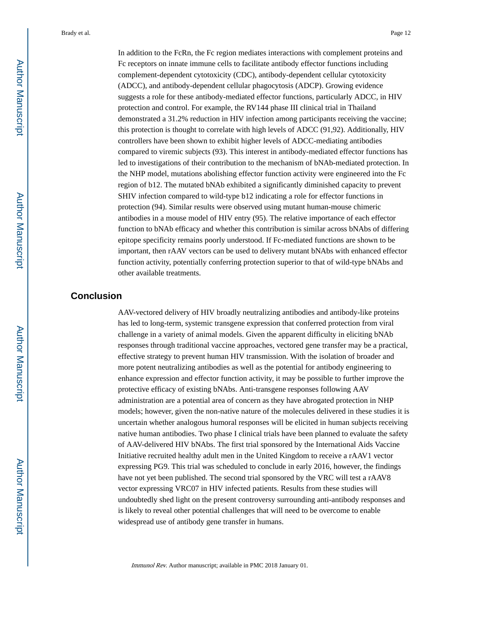In addition to the FcRn, the Fc region mediates interactions with complement proteins and Fc receptors on innate immune cells to facilitate antibody effector functions including complement-dependent cytotoxicity (CDC), antibody-dependent cellular cytotoxicity (ADCC), and antibody-dependent cellular phagocytosis (ADCP). Growing evidence suggests a role for these antibody-mediated effector functions, particularly ADCC, in HIV protection and control. For example, the RV144 phase III clinical trial in Thailand demonstrated a 31.2% reduction in HIV infection among participants receiving the vaccine; this protection is thought to correlate with high levels of ADCC (91,92). Additionally, HIV controllers have been shown to exhibit higher levels of ADCC-mediating antibodies compared to viremic subjects (93). This interest in antibody-mediated effector functions has led to investigations of their contribution to the mechanism of bNAb-mediated protection. In the NHP model, mutations abolishing effector function activity were engineered into the Fc region of b12. The mutated bNAb exhibited a significantly diminished capacity to prevent SHIV infection compared to wild-type b12 indicating a role for effector functions in protection (94). Similar results were observed using mutant human-mouse chimeric antibodies in a mouse model of HIV entry (95). The relative importance of each effector function to bNAb efficacy and whether this contribution is similar across bNAbs of differing epitope specificity remains poorly understood. If Fc-mediated functions are shown to be important, then rAAV vectors can be used to delivery mutant bNAbs with enhanced effector function activity, potentially conferring protection superior to that of wild-type bNAbs and other available treatments.

#### **Conclusion**

AAV-vectored delivery of HIV broadly neutralizing antibodies and antibody-like proteins has led to long-term, systemic transgene expression that conferred protection from viral challenge in a variety of animal models. Given the apparent difficulty in eliciting bNAb responses through traditional vaccine approaches, vectored gene transfer may be a practical, effective strategy to prevent human HIV transmission. With the isolation of broader and more potent neutralizing antibodies as well as the potential for antibody engineering to enhance expression and effector function activity, it may be possible to further improve the protective efficacy of existing bNAbs. Anti-transgene responses following AAV administration are a potential area of concern as they have abrogated protection in NHP models; however, given the non-native nature of the molecules delivered in these studies it is uncertain whether analogous humoral responses will be elicited in human subjects receiving native human antibodies. Two phase I clinical trials have been planned to evaluate the safety of AAV-delivered HIV bNAbs. The first trial sponsored by the International Aids Vaccine Initiative recruited healthy adult men in the United Kingdom to receive a rAAV1 vector expressing PG9. This trial was scheduled to conclude in early 2016, however, the findings have not yet been published. The second trial sponsored by the VRC will test a rAAV8 vector expressing VRC07 in HIV infected patients. Results from these studies will undoubtedly shed light on the present controversy surrounding anti-antibody responses and is likely to reveal other potential challenges that will need to be overcome to enable widespread use of antibody gene transfer in humans.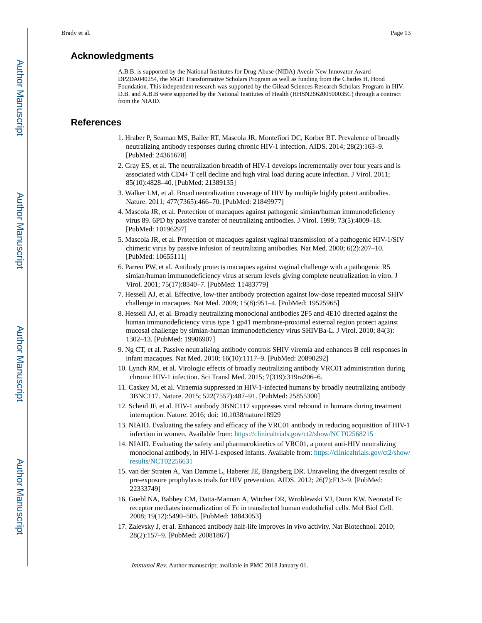#### **Acknowledgments**

A.B.B. is supported by the National Institutes for Drug Abuse (NIDA) Avenir New Innovator Award DP2DA040254, the MGH Transformative Scholars Program as well as funding from the Charles H. Hood Foundation. This independent research was supported by the Gilead Sciences Research Scholars Program in HIV. D.B. and A.B.B were supported by the National Institutes of Health (HHSN266200500035C) through a contract from the NIAID.

#### **References**

- 1. Hraber P, Seaman MS, Bailer RT, Mascola JR, Montefiori DC, Korber BT. Prevalence of broadly neutralizing antibody responses during chronic HIV-1 infection. AIDS. 2014; 28(2):163–9. [PubMed: 24361678]
- 2. Gray ES, et al. The neutralization breadth of HIV-1 develops incrementally over four years and is associated with CD4+ T cell decline and high viral load during acute infection. J Virol. 2011; 85(10):4828–40. [PubMed: 21389135]
- 3. Walker LM, et al. Broad neutralization coverage of HIV by multiple highly potent antibodies. Nature. 2011; 477(7365):466–70. [PubMed: 21849977]
- 4. Mascola JR, et al. Protection of macaques against pathogenic simian/human immunodeficiency virus 89. 6PD by passive transfer of neutralizing antibodies. J Virol. 1999; 73(5):4009–18. [PubMed: 10196297]
- 5. Mascola JR, et al. Protection of macaques against vaginal transmission of a pathogenic HIV-1/SIV chimeric virus by passive infusion of neutralizing antibodies. Nat Med. 2000; 6(2):207–10. [PubMed: 10655111]
- 6. Parren PW, et al. Antibody protects macaques against vaginal challenge with a pathogenic R5 simian/human immunodeficiency virus at serum levels giving complete neutralization in vitro. J Virol. 2001; 75(17):8340–7. [PubMed: 11483779]
- 7. Hessell AJ, et al. Effective, low-titer antibody protection against low-dose repeated mucosal SHIV challenge in macaques. Nat Med. 2009; 15(8):951–4. [PubMed: 19525965]
- 8. Hessell AJ, et al. Broadly neutralizing monoclonal antibodies 2F5 and 4E10 directed against the human immunodeficiency virus type 1 gp41 membrane-proximal external region protect against mucosal challenge by simian-human immunodeficiency virus SHIVBa-L. J Virol. 2010; 84(3): 1302–13. [PubMed: 19906907]
- 9. Ng CT, et al. Passive neutralizing antibody controls SHIV viremia and enhances B cell responses in infant macaques. Nat Med. 2010; 16(10):1117–9. [PubMed: 20890292]
- 10. Lynch RM, et al. Virologic effects of broadly neutralizing antibody VRC01 administration during chronic HIV-1 infection. Sci Transl Med. 2015; 7(319):319ra206–6.
- 11. Caskey M, et al. Viraemia suppressed in HIV-1-infected humans by broadly neutralizing antibody 3BNC117. Nature. 2015; 522(7557):487–91. [PubMed: 25855300]
- 12. Scheid JF, et al. HIV-1 antibody 3BNC117 suppresses viral rebound in humans during treatment interruption. Nature. 2016; doi: 10.1038/nature18929
- 13. NIAID. Evaluating the safety and efficacy of the VRC01 antibody in reducing acquisition of HIV-1 infection in women. Available from:<https://clinicaltrials.gov/ct2/show/NCT02568215>
- 14. NIAID. Evaluating the safety and pharmacokinetics of VRC01, a potent anti-HIV neutralizing monoclonal antibody, in HIV-1-exposed infants. Available from: [https://clinicaltrials.gov/ct2/show/](https://clinicaltrials.gov/ct2/show/results/NCT02256631) [results/NCT02256631](https://clinicaltrials.gov/ct2/show/results/NCT02256631)
- 15. van der Straten A, Van Damme L, Haberer JE, Bangsberg DR. Unraveling the divergent results of pre-exposure prophylaxis trials for HIV prevention. AIDS. 2012; 26(7):F13–9. [PubMed: 22333749]
- 16. Goebl NA, Babbey CM, Datta-Mannan A, Witcher DR, Wroblewski VJ, Dunn KW. Neonatal Fc receptor mediates internalization of Fc in transfected human endothelial cells. Mol Biol Cell. 2008; 19(12):5490–505. [PubMed: 18843053]
- 17. Zalevsky J, et al. Enhanced antibody half-life improves in vivo activity. Nat Biotechnol. 2010; 28(2):157–9. [PubMed: 20081867]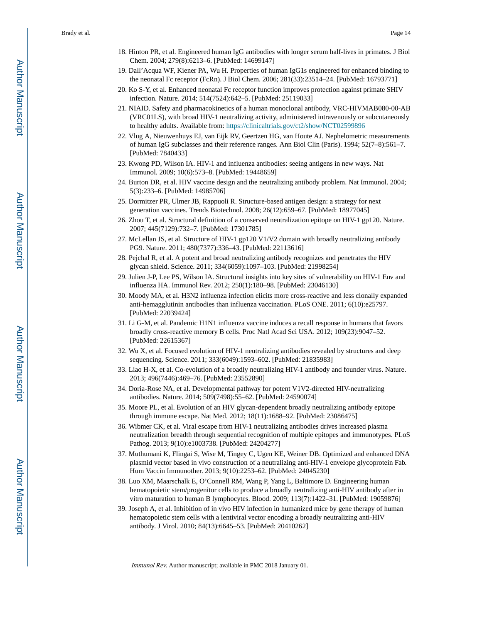- 18. Hinton PR, et al. Engineered human IgG antibodies with longer serum half-lives in primates. J Biol Chem. 2004; 279(8):6213–6. [PubMed: 14699147]
- 19. Dall'Acqua WF, Kiener PA, Wu H. Properties of human IgG1s engineered for enhanced binding to the neonatal Fc receptor (FcRn). J Biol Chem. 2006; 281(33):23514–24. [PubMed: 16793771]
- 20. Ko S-Y, et al. Enhanced neonatal Fc receptor function improves protection against primate SHIV infection. Nature. 2014; 514(7524):642–5. [PubMed: 25119033]
- 21. NIAID. Safety and pharmacokinetics of a human monoclonal antibody, VRC-HIVMAB080-00-AB (VRC01LS), with broad HIV-1 neutralizing activity, administered intravenously or subcutaneously to healthy adults. Available from: <https://clinicaltrials.gov/ct2/show/NCT02599896>
- 22. Vlug A, Nieuwenhuys EJ, van Eijk RV, Geertzen HG, van Houte AJ. Nephelometric measurements of human IgG subclasses and their reference ranges. Ann Biol Clin (Paris). 1994; 52(7–8):561–7. [PubMed: 7840433]
- 23. Kwong PD, Wilson IA. HIV-1 and influenza antibodies: seeing antigens in new ways. Nat Immunol. 2009; 10(6):573–8. [PubMed: 19448659]
- 24. Burton DR, et al. HIV vaccine design and the neutralizing antibody problem. Nat Immunol. 2004; 5(3):233–6. [PubMed: 14985706]
- 25. Dormitzer PR, Ulmer JB, Rappuoli R. Structure-based antigen design: a strategy for next generation vaccines. Trends Biotechnol. 2008; 26(12):659–67. [PubMed: 18977045]
- 26. Zhou T, et al. Structural definition of a conserved neutralization epitope on HIV-1 gp120. Nature. 2007; 445(7129):732–7. [PubMed: 17301785]
- 27. McLellan JS, et al. Structure of HIV-1 gp120 V1/V2 domain with broadly neutralizing antibody PG9. Nature. 2011; 480(7377):336–43. [PubMed: 22113616]
- 28. Pejchal R, et al. A potent and broad neutralizing antibody recognizes and penetrates the HIV glycan shield. Science. 2011; 334(6059):1097–103. [PubMed: 21998254]
- 29. Julien J-P, Lee PS, Wilson IA. Structural insights into key sites of vulnerability on HIV-1 Env and influenza HA. Immunol Rev. 2012; 250(1):180–98. [PubMed: 23046130]
- 30. Moody MA, et al. H3N2 influenza infection elicits more cross-reactive and less clonally expanded anti-hemagglutinin antibodies than influenza vaccination. PLoS ONE. 2011; 6(10):e25797. [PubMed: 22039424]
- 31. Li G-M, et al. Pandemic H1N1 influenza vaccine induces a recall response in humans that favors broadly cross-reactive memory B cells. Proc Natl Acad Sci USA. 2012; 109(23):9047–52. [PubMed: 22615367]
- 32. Wu X, et al. Focused evolution of HIV-1 neutralizing antibodies revealed by structures and deep sequencing. Science. 2011; 333(6049):1593–602. [PubMed: 21835983]
- 33. Liao H-X, et al. Co-evolution of a broadly neutralizing HIV-1 antibody and founder virus. Nature. 2013; 496(7446):469–76. [PubMed: 23552890]
- 34. Doria-Rose NA, et al. Developmental pathway for potent V1V2-directed HIV-neutralizing antibodies. Nature. 2014; 509(7498):55–62. [PubMed: 24590074]
- 35. Moore PL, et al. Evolution of an HIV glycan-dependent broadly neutralizing antibody epitope through immune escape. Nat Med. 2012; 18(11):1688–92. [PubMed: 23086475]
- 36. Wibmer CK, et al. Viral escape from HIV-1 neutralizing antibodies drives increased plasma neutralization breadth through sequential recognition of multiple epitopes and immunotypes. PLoS Pathog. 2013; 9(10):e1003738. [PubMed: 24204277]
- 37. Muthumani K, Flingai S, Wise M, Tingey C, Ugen KE, Weiner DB. Optimized and enhanced DNA plasmid vector based in vivo construction of a neutralizing anti-HIV-1 envelope glycoprotein Fab. Hum Vaccin Immunother. 2013; 9(10):2253–62. [PubMed: 24045230]
- 38. Luo XM, Maarschalk E, O'Connell RM, Wang P, Yang L, Baltimore D. Engineering human hematopoietic stem/progenitor cells to produce a broadly neutralizing anti-HIV antibody after in vitro maturation to human B lymphocytes. Blood. 2009; 113(7):1422–31. [PubMed: 19059876]
- 39. Joseph A, et al. Inhibition of in vivo HIV infection in humanized mice by gene therapy of human hematopoietic stem cells with a lentiviral vector encoding a broadly neutralizing anti-HIV antibody. J Virol. 2010; 84(13):6645–53. [PubMed: 20410262]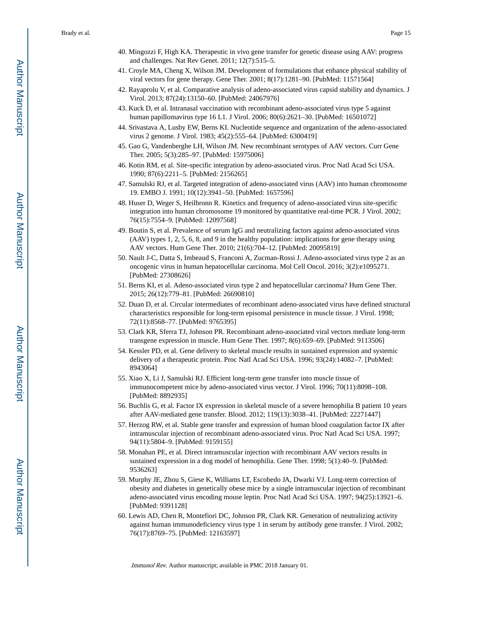- 40. Mingozzi F, High KA. Therapeutic in vivo gene transfer for genetic disease using AAV: progress and challenges. Nat Rev Genet. 2011; 12(7):515–5.
- 41. Croyle MA, Cheng X, Wilson JM. Development of formulations that enhance physical stability of viral vectors for gene therapy. Gene Ther. 2001; 8(17):1281–90. [PubMed: 11571564]
- 42. Rayaprolu V, et al. Comparative analysis of adeno-associated virus capsid stability and dynamics. J Virol. 2013; 87(24):13150–60. [PubMed: 24067976]
- 43. Kuck D, et al. Intranasal vaccination with recombinant adeno-associated virus type 5 against human papillomavirus type 16 L1. J Virol. 2006; 80(6):2621–30. [PubMed: 16501072]
- 44. Srivastava A, Lusby EW, Berns KI. Nucleotide sequence and organization of the adeno-associated virus 2 genome. J Virol. 1983; 45(2):555–64. [PubMed: 6300419]
- 45. Gao G, Vandenberghe LH, Wilson JM. New recombinant serotypes of AAV vectors. Curr Gene Ther. 2005; 5(3):285–97. [PubMed: 15975006]
- 46. Kotin RM, et al. Site-specific integration by adeno-associated virus. Proc Natl Acad Sci USA. 1990; 87(6):2211–5. [PubMed: 2156265]
- 47. Samulski RJ, et al. Targeted integration of adeno-associated virus (AAV) into human chromosome 19. EMBO J. 1991; 10(12):3941–50. [PubMed: 1657596]
- 48. Huser D, Weger S, Heilbronn R. Kinetics and frequency of adeno-associated virus site-specific integration into human chromosome 19 monitored by quantitative real-time PCR. J Virol. 2002; 76(15):7554–9. [PubMed: 12097568]
- 49. Boutin S, et al. Prevalence of serum IgG and neutralizing factors against adeno-associated virus (AAV) types 1, 2, 5, 6, 8, and 9 in the healthy population: implications for gene therapy using AAV vectors. Hum Gene Ther. 2010; 21(6):704–12. [PubMed: 20095819]
- 50. Nault J-C, Datta S, Imbeaud S, Franconi A, Zucman-Rossi J. Adeno-associated virus type 2 as an oncogenic virus in human hepatocellular carcinoma. Mol Cell Oncol. 2016; 3(2):e1095271. [PubMed: 27308626]
- 51. Berns KI, et al. Adeno-associated virus type 2 and hepatocellular carcinoma? Hum Gene Ther. 2015; 26(12):779–81. [PubMed: 26690810]
- 52. Duan D, et al. Circular intermediates of recombinant adeno-associated virus have defined structural characteristics responsible for long-term episomal persistence in muscle tissue. J Virol. 1998; 72(11):8568–77. [PubMed: 9765395]
- 53. Clark KR, Sferra TJ, Johnson PR. Recombinant adeno-associated viral vectors mediate long-term transgene expression in muscle. Hum Gene Ther. 1997; 8(6):659–69. [PubMed: 9113506]
- 54. Kessler PD, et al. Gene delivery to skeletal muscle results in sustained expression and systemic delivery of a therapeutic protein. Proc Natl Acad Sci USA. 1996; 93(24):14082–7. [PubMed: 8943064]
- 55. Xiao X, Li J, Samulski RJ. Efficient long-term gene transfer into muscle tissue of immunocompetent mice by adeno-associated virus vector. J Virol. 1996; 70(11):8098–108. [PubMed: 8892935]
- 56. Buchlis G, et al. Factor IX expression in skeletal muscle of a severe hemophilia B patient 10 years after AAV-mediated gene transfer. Blood. 2012; 119(13):3038–41. [PubMed: 22271447]
- 57. Herzog RW, et al. Stable gene transfer and expression of human blood coagulation factor IX after intramuscular injection of recombinant adeno-associated virus. Proc Natl Acad Sci USA. 1997; 94(11):5804–9. [PubMed: 9159155]
- 58. Monahan PE, et al. Direct intramuscular injection with recombinant AAV vectors results in sustained expression in a dog model of hemophilia. Gene Ther. 1998; 5(1):40–9. [PubMed: 9536263]
- 59. Murphy JE, Zhou S, Giese K, Williams LT, Escobedo JA, Dwarki VJ. Long-term correction of obesity and diabetes in genetically obese mice by a single intramuscular injection of recombinant adeno-associated virus encoding mouse leptin. Proc Natl Acad Sci USA. 1997; 94(25):13921–6. [PubMed: 9391128]
- 60. Lewis AD, Chen R, Montefiori DC, Johnson PR, Clark KR. Generation of neutralizing activity against human immunodeficiency virus type 1 in serum by antibody gene transfer. J Virol. 2002; 76(17):8769–75. [PubMed: 12163597]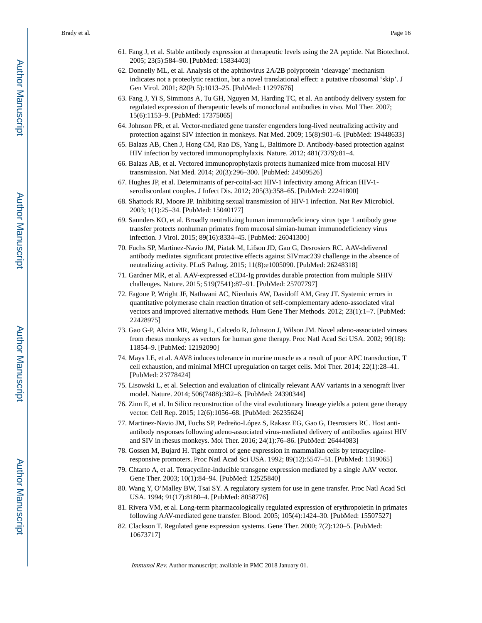- 61. Fang J, et al. Stable antibody expression at therapeutic levels using the 2A peptide. Nat Biotechnol. 2005; 23(5):584–90. [PubMed: 15834403]
- 62. Donnelly ML, et al. Analysis of the aphthovirus 2A/2B polyprotein 'cleavage' mechanism indicates not a proteolytic reaction, but a novel translational effect: a putative ribosomal 'skip'. J Gen Virol. 2001; 82(Pt 5):1013–25. [PubMed: 11297676]
- 63. Fang J, Yi S, Simmons A, Tu GH, Nguyen M, Harding TC, et al. An antibody delivery system for regulated expression of therapeutic levels of monoclonal antibodies in vivo. Mol Ther. 2007; 15(6):1153–9. [PubMed: 17375065]
- 64. Johnson PR, et al. Vector-mediated gene transfer engenders long-lived neutralizing activity and protection against SIV infection in monkeys. Nat Med. 2009; 15(8):901–6. [PubMed: 19448633]
- 65. Balazs AB, Chen J, Hong CM, Rao DS, Yang L, Baltimore D. Antibody-based protection against HIV infection by vectored immunoprophylaxis. Nature. 2012; 481(7379):81–4.
- 66. Balazs AB, et al. Vectored immunoprophylaxis protects humanized mice from mucosal HIV transmission. Nat Med. 2014; 20(3):296–300. [PubMed: 24509526]
- 67. Hughes JP, et al. Determinants of per-coital-act HIV-1 infectivity among African HIV-1 serodiscordant couples. J Infect Dis. 2012; 205(3):358–65. [PubMed: 22241800]
- 68. Shattock RJ, Moore JP. Inhibiting sexual transmission of HIV-1 infection. Nat Rev Microbiol. 2003; 1(1):25–34. [PubMed: 15040177]
- 69. Saunders KO, et al. Broadly neutralizing human immunodeficiency virus type 1 antibody gene transfer protects nonhuman primates from mucosal simian-human immunodeficiency virus infection. J Virol. 2015; 89(16):8334–45. [PubMed: 26041300]
- 70. Fuchs SP, Martinez-Navio JM, Piatak M, Lifson JD, Gao G, Desrosiers RC. AAV-delivered antibody mediates significant protective effects against SIVmac239 challenge in the absence of neutralizing activity. PLoS Pathog. 2015; 11(8):e1005090. [PubMed: 26248318]
- 71. Gardner MR, et al. AAV-expressed eCD4-Ig provides durable protection from multiple SHIV challenges. Nature. 2015; 519(7541):87–91. [PubMed: 25707797]
- 72. Fagone P, Wright JF, Nathwani AC, Nienhuis AW, Davidoff AM, Gray JT. Systemic errors in quantitative polymerase chain reaction titration of self-complementary adeno-associated viral vectors and improved alternative methods. Hum Gene Ther Methods. 2012; 23(1):1–7. [PubMed: 22428975]
- 73. Gao G-P, Alvira MR, Wang L, Calcedo R, Johnston J, Wilson JM. Novel adeno-associated viruses from rhesus monkeys as vectors for human gene therapy. Proc Natl Acad Sci USA. 2002; 99(18): 11854–9. [PubMed: 12192090]
- 74. Mays LE, et al. AAV8 induces tolerance in murine muscle as a result of poor APC transduction, T cell exhaustion, and minimal MHCI upregulation on target cells. Mol Ther. 2014; 22(1):28–41. [PubMed: 23778424]
- 75. Lisowski L, et al. Selection and evaluation of clinically relevant AAV variants in a xenograft liver model. Nature. 2014; 506(7488):382–6. [PubMed: 24390344]
- 76. Zinn E, et al. In Silico reconstruction of the viral evolutionary lineage yields a potent gene therapy vector. Cell Rep. 2015; 12(6):1056–68. [PubMed: 26235624]
- 77. Martinez-Navio JM, Fuchs SP, Pedreño-López S, Rakasz EG, Gao G, Desrosiers RC. Host antiantibody responses following adeno-associated virus-mediated delivery of antibodies against HIV and SIV in rhesus monkeys. Mol Ther. 2016; 24(1):76–86. [PubMed: 26444083]
- 78. Gossen M, Bujard H. Tight control of gene expression in mammalian cells by tetracyclineresponsive promoters. Proc Natl Acad Sci USA. 1992; 89(12):5547–51. [PubMed: 1319065]
- 79. Chtarto A, et al. Tetracycline-inducible transgene expression mediated by a single AAV vector. Gene Ther. 2003; 10(1):84–94. [PubMed: 12525840]
- 80. Wang Y, O'Malley BW, Tsai SY. A regulatory system for use in gene transfer. Proc Natl Acad Sci USA. 1994; 91(17):8180–4. [PubMed: 8058776]
- 81. Rivera VM, et al. Long-term pharmacologically regulated expression of erythropoietin in primates following AAV-mediated gene transfer. Blood. 2005; 105(4):1424–30. [PubMed: 15507527]
- 82. Clackson T. Regulated gene expression systems. Gene Ther. 2000; 7(2):120–5. [PubMed: 10673717]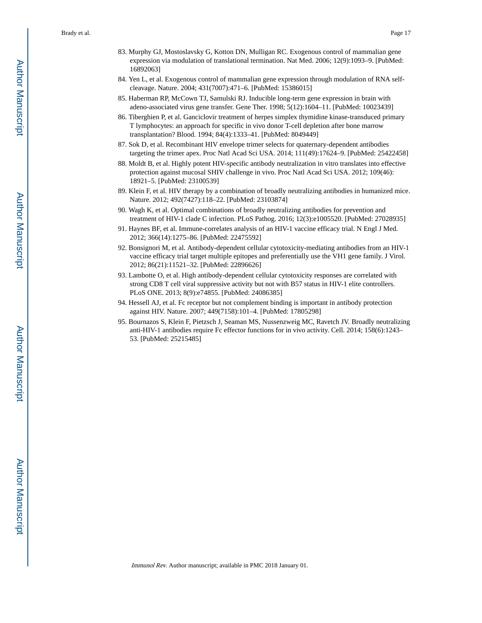- 83. Murphy GJ, Mostoslavsky G, Kotton DN, Mulligan RC. Exogenous control of mammalian gene expression via modulation of translational termination. Nat Med. 2006; 12(9):1093–9. [PubMed: 16892063]
- 84. Yen L, et al. Exogenous control of mammalian gene expression through modulation of RNA selfcleavage. Nature. 2004; 431(7007):471–6. [PubMed: 15386015]
- 85. Haberman RP, McCown TJ, Samulski RJ. Inducible long-term gene expression in brain with adeno-associated virus gene transfer. Gene Ther. 1998; 5(12):1604–11. [PubMed: 10023439]
- 86. Tiberghien P, et al. Ganciclovir treatment of herpes simplex thymidine kinase-transduced primary T lymphocytes: an approach for specific in vivo donor T-cell depletion after bone marrow transplantation? Blood. 1994; 84(4):1333–41. [PubMed: 8049449]
- 87. Sok D, et al. Recombinant HIV envelope trimer selects for quaternary-dependent antibodies targeting the trimer apex. Proc Natl Acad Sci USA. 2014; 111(49):17624–9. [PubMed: 25422458]
- 88. Moldt B, et al. Highly potent HIV-specific antibody neutralization in vitro translates into effective protection against mucosal SHIV challenge in vivo. Proc Natl Acad Sci USA. 2012; 109(46): 18921–5. [PubMed: 23100539]
- 89. Klein F, et al. HIV therapy by a combination of broadly neutralizing antibodies in humanized mice. Nature. 2012; 492(7427):118–22. [PubMed: 23103874]
- 90. Wagh K, et al. Optimal combinations of broadly neutralizing antibodies for prevention and treatment of HIV-1 clade C infection. PLoS Pathog. 2016; 12(3):e1005520. [PubMed: 27028935]
- 91. Haynes BF, et al. Immune-correlates analysis of an HIV-1 vaccine efficacy trial. N Engl J Med. 2012; 366(14):1275–86. [PubMed: 22475592]
- 92. Bonsignori M, et al. Antibody-dependent cellular cytotoxicity-mediating antibodies from an HIV-1 vaccine efficacy trial target multiple epitopes and preferentially use the VH1 gene family. J Virol. 2012; 86(21):11521–32. [PubMed: 22896626]
- 93. Lambotte O, et al. High antibody-dependent cellular cytotoxicity responses are correlated with strong CD8 T cell viral suppressive activity but not with B57 status in HIV-1 elite controllers. PLoS ONE. 2013; 8(9):e74855. [PubMed: 24086385]
- 94. Hessell AJ, et al. Fc receptor but not complement binding is important in antibody protection against HIV. Nature. 2007; 449(7158):101–4. [PubMed: 17805298]
- 95. Bournazos S, Klein F, Pietzsch J, Seaman MS, Nussenzweig MC, Ravetch JV. Broadly neutralizing anti-HIV-1 antibodies require Fc effector functions for in vivo activity. Cell. 2014; 158(6):1243– 53. [PubMed: 25215485]